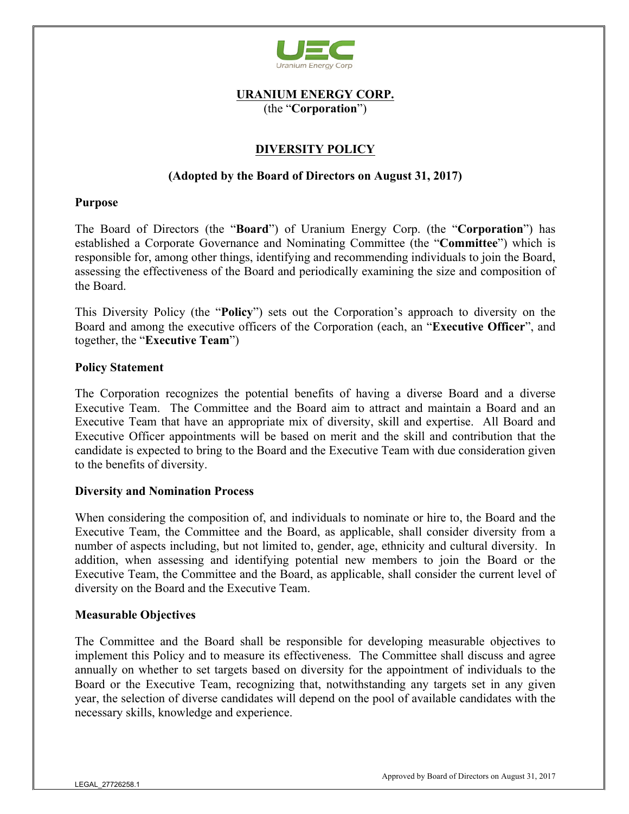

#### **URANIUM ENERGY CORP.** (the "**Corporation**")

# **DIVERSITY POLICY**

### **(Adopted by the Board of Directors on August 31, 2017)**

### **Purpose**

The Board of Directors (the "**Board**") of Uranium Energy Corp. (the "**Corporation**") has established a Corporate Governance and Nominating Committee (the "**Committee**") which is responsible for, among other things, identifying and recommending individuals to join the Board, assessing the effectiveness of the Board and periodically examining the size and composition of the Board.

This Diversity Policy (the "**Policy**") sets out the Corporation's approach to diversity on the Board and among the executive officers of the Corporation (each, an "**Executive Officer**", and together, the "**Executive Team**")

### **Policy Statement**

The Corporation recognizes the potential benefits of having a diverse Board and a diverse Executive Team. The Committee and the Board aim to attract and maintain a Board and an Executive Team that have an appropriate mix of diversity, skill and expertise. All Board and Executive Officer appointments will be based on merit and the skill and contribution that the candidate is expected to bring to the Board and the Executive Team with due consideration given to the benefits of diversity.

### **Diversity and Nomination Process**

When considering the composition of, and individuals to nominate or hire to, the Board and the Executive Team, the Committee and the Board, as applicable, shall consider diversity from a number of aspects including, but not limited to, gender, age, ethnicity and cultural diversity. In addition, when assessing and identifying potential new members to join the Board or the Executive Team, the Committee and the Board, as applicable, shall consider the current level of diversity on the Board and the Executive Team.

#### **Measurable Objectives**

The Committee and the Board shall be responsible for developing measurable objectives to implement this Policy and to measure its effectiveness. The Committee shall discuss and agree annually on whether to set targets based on diversity for the appointment of individuals to the Board or the Executive Team, recognizing that, notwithstanding any targets set in any given year, the selection of diverse candidates will depend on the pool of available candidates with the necessary skills, knowledge and experience.